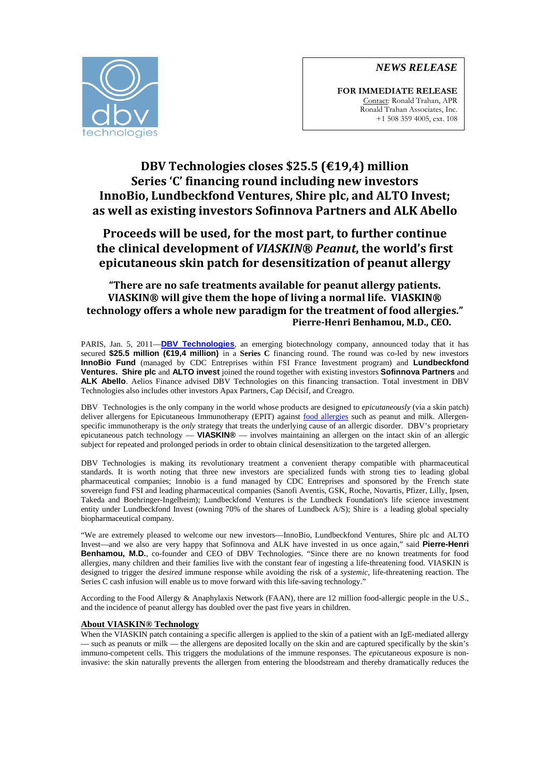*NEWS RELEASE* 



**FOR IMMEDIATE RELEASE**  Contact: Ronald Trahan, APR Ronald Trahan Associates, Inc. +1 508 359 4005, ext. 108

# **DBV Technologies closes \$25.5 (€19,4) million Series 'C' financing round including new investors InnoBio, Lundbeckfond Ventures, Shire plc, and ALTO Invest; as well as existing investors Sofinnova Partners and ALK Abello**

# **Proceeds will be used, for the most part, to further continue the clinical development of** *VIASKIN® Peanut***, the world's first epicutaneous skin patch for desensitization of peanut allergy**

## **"There are no safe treatments available for peanut allergy patients. VIASKIN® will give them the hope of living a normal life. VIASKIN® technology offers a whole new paradigm for the treatment of food allergies." Pierre-Henri Benhamou, M.D., CEO.**

PARIS, Jan. 5, 2011-DBV Technologies, an emerging biotechnology company, announced today that it has secured **\$25.5 million (€19,4 million)** in a **Series C** financing round. The round was co-led by new investors **InnoBio Fund** (managed by CDC Entreprises within FSI France Investment program) and **Lundbeckfond Ventures. Shire plc** and **ALTO invest** joined the round together with existing investors **Sofinnova Partners** and ALK Abello. Aelios Finance advised DBV Technologies on this financing transaction. Total investment in DBV Technologies also includes other investors Apax Partners, Cap Décisif, and Creagro.

DBV Technologies is the only company in the world whose products are designed to *epicutaneously* (via a skin patch) deliver allergens for Epicutaneous Immunotherapy (EPIT) against food allergies such as peanut and milk. Allergenspecific immunotherapy is the *only* strategy that treats the underlying cause of an allergic disorder. DBV's proprietary epicutaneous patch technology — **VIASKIN®** — involves maintaining an allergen on the intact skin of an allergic subject for repeated and prolonged periods in order to obtain clinical desensitization to the targeted allergen.

DBV Technologies is making its revolutionary treatment a convenient therapy compatible with pharmaceutical standards. It is worth noting that three new investors are specialized funds with strong ties to leading global pharmaceutical companies; Innobio is a fund managed by CDC Entreprises and sponsored by the French state sovereign fund FSI and leading pharmaceutical companies (Sanofi Aventis, GSK, Roche, Novartis, Pfizer, Lilly, Ipsen, Takeda and Boehringer-Ingelheim); Lundbeckfond Ventures is the Lundbeck Foundation's life science investment entity under Lundbeckfond Invest (owning 70% of the shares of Lundbeck A/S); Shire is a leading global specialty biopharmaceutical company.

"We are extremely pleased to welcome our new investors—InnoBio, Lundbeckfond Ventures, Shire plc and ALTO Invest—and we also are very happy that Sofinnova and ALK have invested in us once again," said **Pierre-Henri Benhamou, M.D.**, co-founder and CEO of DBV Technologies. "Since there are no known treatments for food allergies, many children and their families live with the constant fear of ingesting a life-threatening food. VIASKIN is designed to trigger the *desired* immune response while avoiding the risk of a *systemic*, life-threatening reaction. The Series C cash infusion will enable us to move forward with this life-saving technology."

According to the Food Allergy & Anaphylaxis Network (FAAN), there are 12 million food-allergic people in the U.S., and the incidence of peanut allergy has doubled over the past five years in children.

### **About VIASKIN® Technology**

When the VIASKIN patch containing a specific allergen is applied to the skin of a patient with an IgE-mediated allergy — such as peanuts or milk — the allergens are deposited locally on the skin and are captured specifically by the skin's immuno-competent cells. This triggers the modulations of the immune responses. The *epi*cutaneous exposure is noninvasive: the skin naturally prevents the allergen from entering the bloodstream and thereby dramatically reduces the